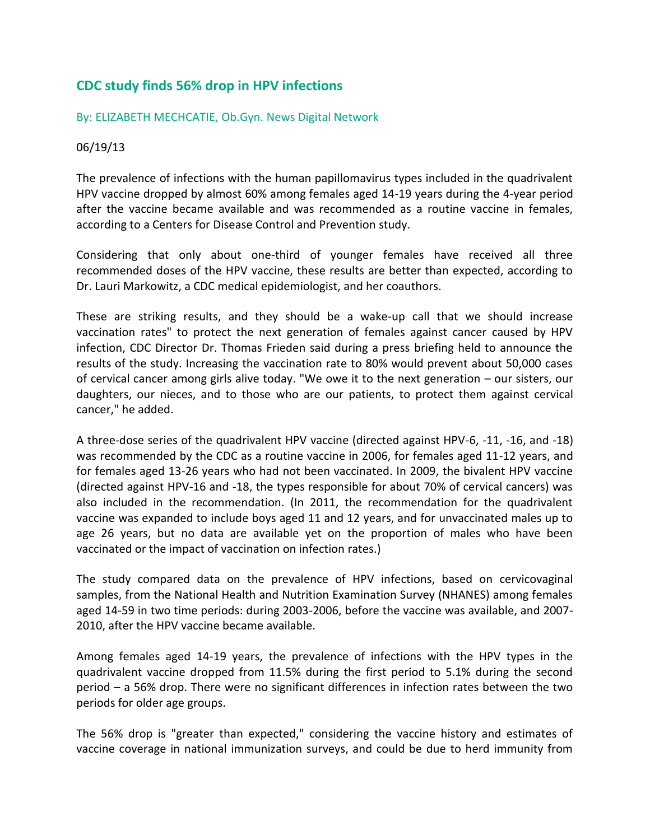## **CDC study finds 56% drop in HPV infections**

## By: ELIZABETH MECHCATIE, [Ob.Gyn. News Digital Network](mailto:emechcatie@frontlinemedcom.com)

## 06/19/13

The prevalence of infections with the human papillomavirus types included in the quadrivalent HPV vaccine dropped by almost 60% among females aged 14-19 years during the 4-year period after the vaccine became available and was recommended as a routine vaccine in females, according to a Centers for Disease Control and Prevention study.

Considering that only about one-third of younger females have received all three recommended doses of the HPV vaccine, these results are better than expected, according to Dr. Lauri Markowitz, a CDC medical epidemiologist, and her coauthors.

These are striking results, and they should be a wake-up call that we should increase vaccination rates" to protect the next generation of females against cancer caused by HPV infection, CDC Director Dr. Thomas Frieden said during a press briefing held to announce the results of the study. Increasing the vaccination rate to 80% would prevent about 50,000 cases of cervical cancer among girls alive today. "We owe it to the next generation – our sisters, our daughters, our nieces, and to those who are our patients, to protect them against cervical cancer," he added.

A three-dose series of the quadrivalent HPV vaccine (directed against HPV-6, -11, -16, and -18) was recommended by the CDC as a routine vaccine in 2006, for females aged 11-12 years, and for females aged 13-26 years who had not been vaccinated. In 2009, the bivalent HPV vaccine (directed against HPV-16 and -18, the types responsible for about 70% of cervical cancers) was also included in the recommendation. (In 2011, the recommendation for the quadrivalent vaccine was expanded to include boys aged 11 and 12 years, and for unvaccinated males up to age 26 years, but no data are available yet on the proportion of males who have been vaccinated or the impact of vaccination on infection rates.)

The study compared data on the prevalence of HPV infections, based on cervicovaginal samples, from the National Health and Nutrition Examination Survey (NHANES) among females aged 14-59 in two time periods: during 2003-2006, before the vaccine was available, and 2007- 2010, after the HPV vaccine became available.

Among females aged 14-19 years, the prevalence of infections with the HPV types in the quadrivalent vaccine dropped from 11.5% during the first period to 5.1% during the second period – a 56% drop. There were no significant differences in infection rates between the two periods for older age groups.

The 56% drop is "greater than expected," considering the vaccine history and estimates of vaccine coverage in national immunization surveys, and could be due to herd immunity from